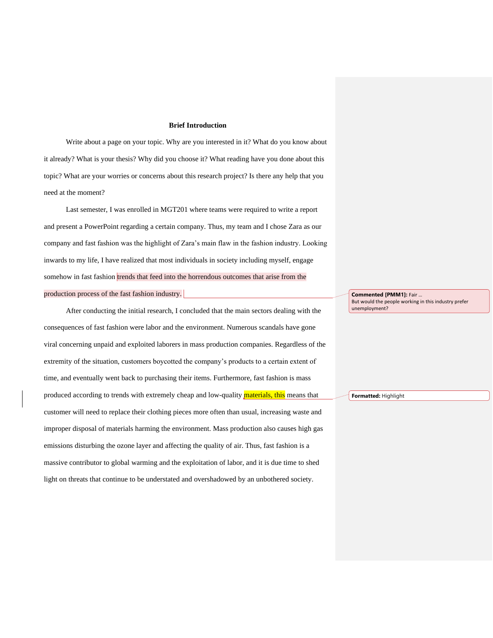## **Brief Introduction**

Write about a page on your topic. Why are you interested in it? What do you know about it already? What is your thesis? Why did you choose it? What reading have you done about this topic? What are your worries or concerns about this research project? Is there any help that you need at the moment?

Last semester, I was enrolled in MGT201 where teams were required to write a report and present a PowerPoint regarding a certain company. Thus, my team and I chose Zara as our company and fast fashion was the highlight of Zara's main flaw in the fashion industry. Looking inwards to my life, I have realized that most individuals in society including myself, engage somehow in fast fashion trends that feed into the horrendous outcomes that arise from the production process of the fast fashion industry.

After conducting the initial research, I concluded that the main sectors dealing with the consequences of fast fashion were labor and the environment. Numerous scandals have gone viral concerning unpaid and exploited laborers in mass production companies. Regardless of the extremity of the situation, customers boycotted the company's products to a certain extent of time, and eventually went back to purchasing their items. Furthermore, fast fashion is mass produced according to trends with extremely cheap and low-quality *materials*, this means that customer will need to replace their clothing pieces more often than usual, increasing waste and improper disposal of materials harming the environment. Mass production also causes high gas emissions disturbing the ozone layer and affecting the quality of air. Thus, fast fashion is a massive contributor to global warming and the exploitation of labor, and it is due time to shed light on threats that continue to be understated and overshadowed by an unbothered society.

**Commented [PMM1]:** Fair … But would the people working in this industry prefer unemployment?

**Formatted:** Highlight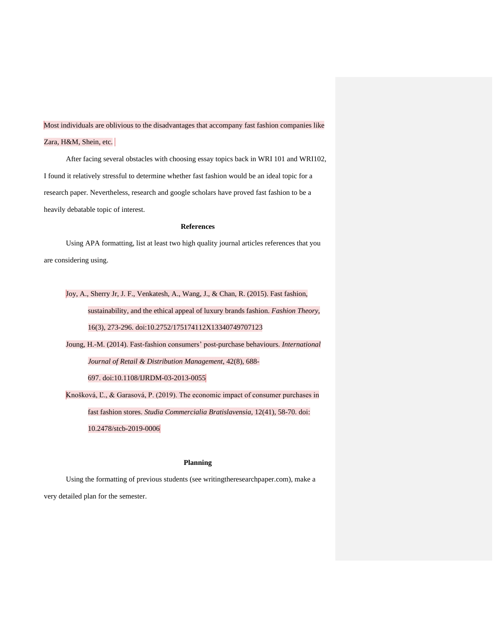Most individuals are oblivious to the disadvantages that accompany fast fashion companies like Zara, H&M, Shein, etc.

After facing several obstacles with choosing essay topics back in WRI 101 and WRI102, I found it relatively stressful to determine whether fast fashion would be an ideal topic for a research paper. Nevertheless, research and google scholars have proved fast fashion to be a heavily debatable topic of interest.

## **References**

Using APA formatting, list at least two high quality journal articles references that you are considering using.

Joy, A., Sherry Jr, J. F., Venkatesh, A., Wang, J., & Chan, R. (2015). Fast fashion, sustainability, and the ethical appeal of luxury brands fashion. *Fashion Theory,* 16(3), 273-296. doi:10.2752/175174112X13340749707123

[Joung, H.-M.](https://www.emerald.com/insight/search?q=Hyun-Mee%20Joung) (2014). Fast-fashion consumers' post-purchase behaviours. *[International](https://www.emerald.com/insight/publication/issn/0959-0552)  [Journal of Retail & Distribution Management](https://www.emerald.com/insight/publication/issn/0959-0552)*, 42(8), 688- 697. [doi:1](https://doi.org/10.1108/IJRDM-03-2013-0055)0.1108/IJRDM-03-2013-0055

Knošková, Ľ., & Garasová, P. (2019). The economic impact of consumer purchases in fast fashion stores. *Studia Commercialia Bratislavensia,* 12(41), 58-70. doi: 10.2478/stcb-2019-0006

## **Planning**

Using the formatting of previous students (see writingtheresearchpaper.com), make a very detailed plan for the semester.